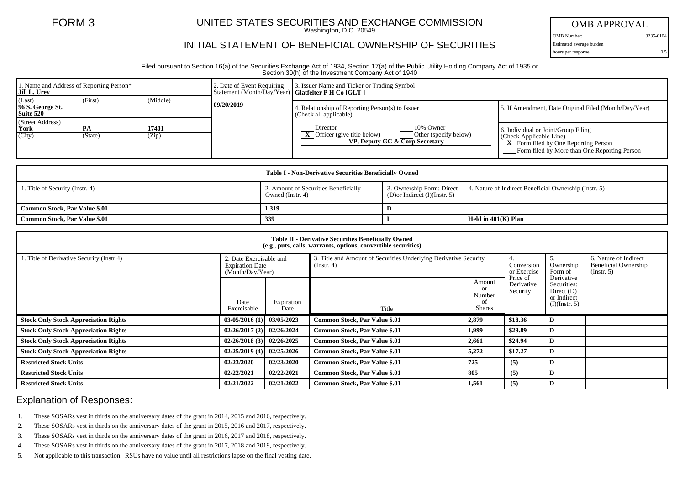## FORM 3 UNITED STATES SECURITIES AND EXCHANGE COMMISSION

Washington, D.C. 20549

## INITIAL STATEMENT OF BENEFICIAL OWNERSHIP OF SECURITIES

OMB APPROVAL

OMB Number: 3235-0104 Estimated average burden hours per response: 0.5

Filed pursuant to Section 16(a) of the Securities Exchange Act of 1934, Section 17(a) of the Public Utility Holding Company Act of 1935 or Section 30(h) of the Investment Company Act of 1940

| 1. Name and Address of Reporting Person*<br><b>Jill L. Urev</b> |                |                | 2. Date of Event Requiring<br>Statement (Month/Day/Year)   Glatfelter P H Co [GLT ] | 3. Issuer Name and Ticker or Trading Symbol                                                                                   |                                                                                                                                                                       |  |  |
|-----------------------------------------------------------------|----------------|----------------|-------------------------------------------------------------------------------------|-------------------------------------------------------------------------------------------------------------------------------|-----------------------------------------------------------------------------------------------------------------------------------------------------------------------|--|--|
| (Last)<br>96 S. George St.<br>Suite 520                         | (First)        | (Middle)       | 09/20/2019                                                                          | Relationship of Reporting Person(s) to Issuer<br>(Check all applicable)                                                       | 5. If Amendment, Date Original Filed (Month/Day/Year)                                                                                                                 |  |  |
| (Street Address)<br>  York<br>(City)                            | PA.<br>(State) | 17401<br>(Zip) |                                                                                     | Director<br>10% Owner<br>$\overline{X}$ Officer (give title below)<br>Other (specify below)<br>VP, Deputy GC & Corp Secretary | 6. Individual or Joint/Group Filing<br>$\vert$ (Check Applicable Line)<br><b>X</b> Form filed by One Reporting Person<br>Form filed by More than One Reporting Person |  |  |

| <b>Table I - Non-Derivative Securities Beneficially Owned</b> |                                                          |                                         |                                                                                 |  |  |  |  |
|---------------------------------------------------------------|----------------------------------------------------------|-----------------------------------------|---------------------------------------------------------------------------------|--|--|--|--|
| 1. Title of Security (Instr. 4)                               | 2. Amount of Securities Beneficially<br>Owned (Instr. 4) | (D) or Indirect $(I)(\text{Instr. } 5)$ | 3. Ownership Form: Direct 4. Nature of Indirect Beneficial Ownership (Instr. 5) |  |  |  |  |
| Common Stock, Par Value \$.01                                 | 1,319                                                    |                                         |                                                                                 |  |  |  |  |
| <b>Common Stock, Par Value \$.01</b>                          | 339                                                      |                                         | Held in 401(K) Plan                                                             |  |  |  |  |

| <b>Table II - Derivative Securities Beneficially Owned</b><br>(e.g., puts, calls, warrants, options, convertible securities) |                                                                       |                    |                                                                                      |                                                          |                                    |                                                                           |                                                                   |  |  |  |  |  |
|------------------------------------------------------------------------------------------------------------------------------|-----------------------------------------------------------------------|--------------------|--------------------------------------------------------------------------------------|----------------------------------------------------------|------------------------------------|---------------------------------------------------------------------------|-------------------------------------------------------------------|--|--|--|--|--|
| 1. Title of Derivative Security (Instr.4)                                                                                    | 2. Date Exercisable and<br><b>Expiration Date</b><br>(Month/Day/Year) |                    | 3. Title and Amount of Securities Underlying Derivative Security<br>$($ Instr. 4 $)$ |                                                          | 4.<br>Conversion<br>or Exercise    | Ownership<br>Form of                                                      | 6. Nature of Indirect<br>Beneficial Ownership<br>$($ Instr. 5 $)$ |  |  |  |  |  |
|                                                                                                                              | Date<br>Exercisable                                                   | Expiration<br>Date | Title                                                                                | Amount<br><sub>or</sub><br>Number<br>οf<br><b>Shares</b> | Price of<br>Derivative<br>Security | Derivative<br>Securities:<br>Direct $(D)$<br>or Indirect<br>(I)(Instr. 5) |                                                                   |  |  |  |  |  |
| <b>Stock Only Stock Appreciation Rights</b>                                                                                  | 03/05/2016(1)                                                         | 03/05/2023         | Common Stock, Par Value \$.01                                                        | 2,879                                                    | \$18.36                            | D                                                                         |                                                                   |  |  |  |  |  |
| <b>Stock Only Stock Appreciation Rights</b>                                                                                  | 02/26/2017(2)                                                         | 02/26/2024         | Common Stock, Par Value \$.01                                                        | 1,999                                                    | \$29.89                            | D                                                                         |                                                                   |  |  |  |  |  |
| <b>Stock Only Stock Appreciation Rights</b>                                                                                  | 02/26/2018(3)                                                         | 02/26/2025         | Common Stock, Par Value \$.01                                                        | 2,661                                                    | \$24.94                            | D                                                                         |                                                                   |  |  |  |  |  |
| <b>Stock Only Stock Appreciation Rights</b>                                                                                  | 02/25/2019(4)                                                         | 02/25/2026         | Common Stock, Par Value \$.01                                                        | 5,272                                                    | \$17.27                            | D                                                                         |                                                                   |  |  |  |  |  |
| <b>Restricted Stock Units</b>                                                                                                | 02/23/2020                                                            | 02/23/2020         | Common Stock, Par Value \$.01                                                        | 725                                                      | (5)                                | D                                                                         |                                                                   |  |  |  |  |  |
| <b>Restricted Stock Units</b>                                                                                                | 02/22/2021                                                            | 02/22/2021         | Common Stock, Par Value \$.01                                                        | 805                                                      | (5)                                | D                                                                         |                                                                   |  |  |  |  |  |
| <b>Restricted Stock Units</b>                                                                                                | 02/21/2022                                                            | 02/21/2022         | Common Stock, Par Value \$.01                                                        | 1.561                                                    | (5)                                | D                                                                         |                                                                   |  |  |  |  |  |

## Explanation of Responses:

- 1. These SOSARs vest in thirds on the anniversary dates of the grant in 2014, 2015 and 2016, respectively.
- 2. These SOSARs vest in thirds on the anniversary dates of the grant in 2015, 2016 and 2017, respectively.
- 3. These SOSARs vest in thirds on the anniversary dates of the grant in 2016, 2017 and 2018, respectively.
- 4. These SOSARs vest in thirds on the anniversary dates of the grant in 2017, 2018 and 2019, respectively.
- 5. Not applicable to this transaction. RSUs have no value until all restrictions lapse on the final vesting date.